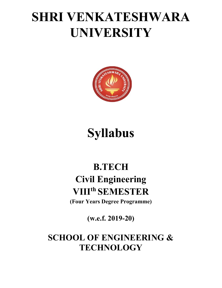## SHRI VENKATESHWARA UNIVERSITY



# Syllabus

## B.TECH Civil Engineering VIIIth SEMESTER

(Four Years Degree Programme)

(w.e.f. 2019-20)

## SCHOOL OF ENGINEERING & **TECHNOLOGY**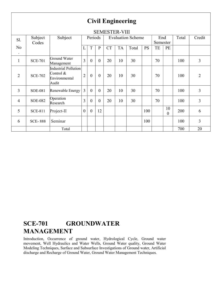| <b>Civil Engineering</b> |                      |                                                                |                |                |                |           |           |                          |           |                 |                |       |                |  |
|--------------------------|----------------------|----------------------------------------------------------------|----------------|----------------|----------------|-----------|-----------|--------------------------|-----------|-----------------|----------------|-------|----------------|--|
|                          | <b>SEMESTER-VIII</b> |                                                                |                |                |                |           |           |                          |           |                 |                |       |                |  |
| Sl.                      | Subject<br>Codes     | Subject                                                        |                | Periods        |                |           |           | <b>Evaluation Scheme</b> |           | End<br>Semester |                | Total | Credit         |  |
| No<br>$\bullet$          |                      |                                                                | L              | T              | $\mathbf{P}$   | <b>CT</b> | <b>TA</b> | Total                    | <b>PS</b> | TE              | PE             |       |                |  |
| $\mathbf{1}$             | <b>SCE-701</b>       | Ground Water<br>Management                                     | $\overline{3}$ | $\overline{0}$ | $\overline{0}$ | 20        | 10        | 30                       |           | 70              |                | 100   | 3              |  |
| $\overline{2}$           | <b>SCE-702</b>       | Industrial Pollution<br>Control $\&$<br>Environmental<br>Audit | $\overline{2}$ | $\overline{0}$ | $\overline{0}$ | 20        | 10        | 30                       |           | 70              |                | 100   | $\overline{2}$ |  |
| 3                        | <b>SOE-081</b>       | Renewable Energy                                               | $\overline{3}$ | $\mathbf{0}$   | $\overline{0}$ | 20        | 10        | 30                       |           | 70              |                | 100   | 3              |  |
| $\overline{4}$           | <b>SOE-082</b>       | Operation<br>Research                                          | 3              | $\overline{0}$ | $\overline{0}$ | 20        | 10        | 30                       |           | 70              |                | 100   | 3              |  |
| 5                        | <b>SCE-811</b>       | Project-II                                                     | $\theta$       | $\overline{0}$ | 12             |           |           |                          | 100       |                 | 10<br>$\Omega$ | 200   | 6              |  |
| 6                        | <b>SCE-888</b>       | Seminar                                                        |                |                |                |           |           |                          | 100       |                 |                | 100   | 3              |  |
|                          |                      | Total                                                          |                |                |                |           |           |                          |           |                 |                | 700   | 20             |  |

### SCE-701 GROUNDWATER MANAGEMENT

Introduction, Occurrence of ground water, Hydrological Cycle, Ground water movement, Well Hydraulics and Water Wells, Ground Water quality, Ground Water Modeling Techniques, Surface and Subsurface Investigations of Ground water, Artificial discharge and Recharge of Ground Water, Ground Water Management Techniques.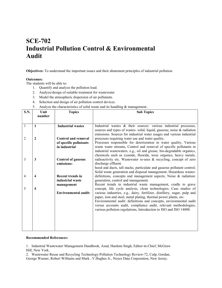### SCE-702 Industrial Pollution Control & Environmental Audit

Objectives: To understand the important issues and their abatement principles of industrial pollution

#### Outcomes:

The students will be able to:

- 1. Quantify and analyze the pollution load.
- 2. Analyze/design of suitable treatment for wastewater
- 3. Model the atmospheric dispersion of air pollutants.
- 4. Selection and design of air pollution control devices.
- 5. Analyze the characteristics of solid waste and its handling & management..

| <b>S.N.</b> | Unit   | <b>Topics</b>                               | <b>Sub Topics</b>                                                                                    |
|-------------|--------|---------------------------------------------|------------------------------------------------------------------------------------------------------|
|             | number |                                             |                                                                                                      |
|             |        |                                             |                                                                                                      |
| 1           | 1      | <b>Industrial wastes</b>                    | Industrial wastes & their sources: various industrial processes,                                     |
|             |        |                                             | sources and types of wastes- solid, liquid, gaseous, noise & radiation                               |
|             |        |                                             | emissions. Sources for industrial water usages and various industrial                                |
| 2           | 2      | <b>Control and removal</b>                  | processes requiring water use and water quality.                                                     |
|             |        | of specific pollutants                      | Processes responsible for deterioration in water quality, Various                                    |
|             |        | in industrial                               | waste water streams, Control and removal of specific pollutants in                                   |
|             |        |                                             | industrial wastewaters, e.g., oil and grease, bio-degradable organics,                               |
|             |        |                                             | chemicals such as cyanide, fluoride, toxic organics, heavy metals,                                   |
| 3           | 3      | <b>Control of gaseous</b>                   | radioactivity etc. Wastewater re-uses & recycling, concept of zero                                   |
|             |        | emissions:                                  | discharge effluent.                                                                                  |
|             |        |                                             | hood and ducts, tall stacks, particulate and gaseous pollutant control;                              |
|             |        |                                             | Solid waste generation and disposal management; Hazardous wastes:                                    |
| 4           | 4      | <b>Recent trends in</b><br>industrial waste | definitions, concepts and management aspects; Noise & radiation:                                     |
|             |        |                                             | generation, control and management.<br>Recent trends in industrial waste management, cradle to grave |
| 5           | 5      | management                                  | concept, life cycle analysis, clean technologies; Case studies of                                    |
|             |        | <b>Environmental audit:</b>                 | various industries, e.g., dairy, fertilizer, distillery, sugar, pulp and                             |
|             |        |                                             | paper, iron and steel, metal plating, thermal power plants, etc.                                     |
|             |        |                                             | Environmental audit: definitions and concepts, environmental audit                                   |
|             |        |                                             | versus accounts audit, compliance audit, relevant methodologies,                                     |
|             |        |                                             | various pollution regulations, Introduction to ISO and ISO 14000.                                    |
|             |        |                                             |                                                                                                      |
|             |        |                                             |                                                                                                      |
|             |        |                                             |                                                                                                      |
|             |        |                                             |                                                                                                      |
|             |        |                                             |                                                                                                      |

#### Recommended References:

1. Industrial Wastewater Management Handbook, Azad, Hardom Singh, Editor‐in‐Chief, McGraw Hill, New York.

2. Wastewater Reuse and Recycling Technology‐Pollution Technology Review‐72, Culp, Gordan, George Wasner, Robert Williams and Mark , V.Hughes Jr., Noyes Data Corporation, New Jersey.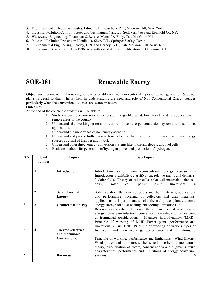- 3. The Treatment of Industrial wastes. Edmund, B. Besselieve P.E., McGraw Hill, New York.
- 4. Industrial Pollution Control –Issues and Techniques. Nancy, J. Sell, Van Nostrand Reinhold Co, NY.
- 5. Wastewater Engineering: Treatment & Re-use. Metcalf & Eddy, Tata Mc Graw-Hill.
- 6. Industrial Pollution Prevention Handbook. Shen, T.T., Springer‐Verlag, Berlin.
- 7. Environmental Engineering. Pandey, G.N. and Corney, G.C., Tata McGraw Hill, New Delhi
- 8. Environment (protection) Act-1986. Any authorized & recent publication on Government Act

### SOE-081 Renewable Energy

Objectives: To impart the knowledge of basics of different non conventional types of power generation & power plants in detail so that it helps them in understanding the need and role of Non-Conventional Energy sources particularly when the conventional sources are scarce in nature.

#### Outcomes:

At the end of the course the students will be able to:

- 1. Study various non-conventional sources of energy like wind, biomass etc and its applications in remote areas of the country.
- 2. Understand the working criteria of various direct energy conversion systems and study its applications.
- 3. Understand the importance of non energy scenario.
- 4. Understand and pursue further research work behind the development of non conventional energy sources as a part of their research work.
- 5. Understand other direct energy conversion systems like m thermoelectric and fuel cells.
- 6. Evaluate methods for generation of hydrogen power and production of hydrogen.

| <b>S.N.</b>    | Unit<br>number | <b>Topics</b>                         | <b>Sub Topics</b>                                                                                                                                                                                                                                                                                                                                                                                          |
|----------------|----------------|---------------------------------------|------------------------------------------------------------------------------------------------------------------------------------------------------------------------------------------------------------------------------------------------------------------------------------------------------------------------------------------------------------------------------------------------------------|
|                | 1              | <b>Introduction</b>                   | Introduction Various non -conventional energy resources -<br>Introduction, availability, classification, relative merits and demerits.<br>3 Solar Cells: Theory of solar cells. solar cell materials, solar cell<br>solar<br>cell<br>limitations.<br>plant,<br>power<br>array,                                                                                                                             |
| $\overline{2}$ | 2              | <b>Solar Thermal</b><br><b>Energy</b> | Solar radiation, flat plate collectors and their materials, applications<br>and performance, focusing of collectors and their materials,<br>applications and performance; solar thermal power plants, thermal                                                                                                                                                                                              |
| 3              | 3              | <b>Geothermal Energy</b>              | energy storage for solar heating and cooling, limitations. 9<br>Resources of geothermal energy, thermodynamics of geo-thermal<br>energy conversion -electrical conversion, non -electrical conversion,<br>environmental considerations. 4 Magneto -hydrodynamics (MHD):<br>Principle of working of MHD Power plant, performance and<br>limitations. 2 Fuel Cells: Principle of working of various types of |
| 4              | 4              | Thermo-electrical<br>and thermionic   | fuel cells and their working, performance and limitations. 3                                                                                                                                                                                                                                                                                                                                               |
|                |                | <b>Conversions:</b>                   | Principle of working, performance and limitations. Wind Energy:<br>Wind power and its sources, site selection, criterion, momentum<br>theory, classification of rotors, concentrations and augments, wind<br>characteristics. performance and limitations of energy conversion                                                                                                                             |
| 5              | 5              | <b>Bio-mass</b>                       | systems.<br>6                                                                                                                                                                                                                                                                                                                                                                                              |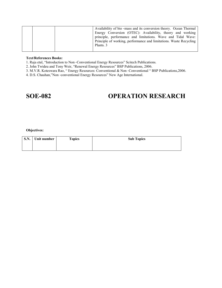| Plants. 3 |  | Availability of bio-mass and its conversion theory. Ocean Thermal<br>Energy Conversion (OTEC): Availability, theory and working<br>principle, performance and limitations. Wave and Tidal Wave:<br>Principle of working, performance and limitations. Waste Recycling |
|-----------|--|-----------------------------------------------------------------------------------------------------------------------------------------------------------------------------------------------------------------------------------------------------------------------|
|-----------|--|-----------------------------------------------------------------------------------------------------------------------------------------------------------------------------------------------------------------------------------------------------------------------|

### Text/References Books:

1. Raja etal, "Introduction to Non ‐Conventional Energy Resources" Scitech Publications.

2. John Twideu and Tony Weir, "Renewal Energy Resources" BSP Publications, 2006.

3. M.V.R. Koteswara Rao, " Energy Resources: Conventional & Non ‐Conventional " BSP Publications,2006.

4. D.S. Chauhan,"Non ‐conventional Energy Resources" New Age International.

### SOE-082 OPERATION RESEARCH

#### Objectives:

| S.N. Unit number | <b>Topics</b> | <b>Sub Topics</b> |
|------------------|---------------|-------------------|
|                  |               |                   |